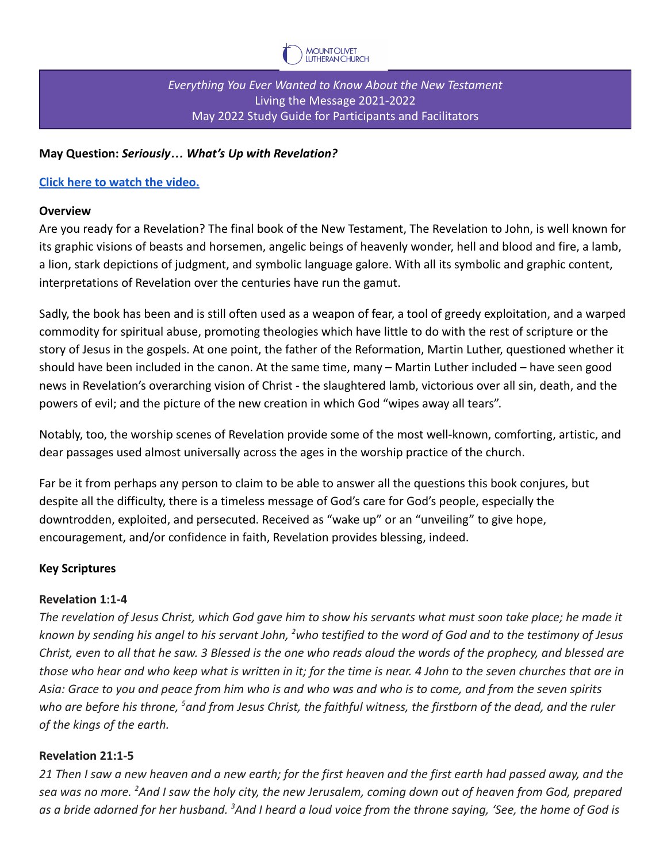

*Everything You Ever Wanted to Know About the New Testament* Living the Message 2021-2022 May 2022 Study Guide for Participants and Facilitators

### **May Question:** *Seriously… What's Up with Revelation?*

### **[Click here to watch the video.](https://vimeo.com/701832387)**

#### **Overview**

Are you ready for a Revelation? The final book of the New Testament, The Revelation to John, is well known for its graphic visions of beasts and horsemen, angelic beings of heavenly wonder, hell and blood and fire, a lamb, a lion, stark depictions of judgment, and symbolic language galore. With all its symbolic and graphic content, interpretations of Revelation over the centuries have run the gamut.

Sadly, the book has been and is still often used as a weapon of fear, a tool of greedy exploitation, and a warped commodity for spiritual abuse, promoting theologies which have little to do with the rest of scripture or the story of Jesus in the gospels. At one point, the father of the Reformation, Martin Luther, questioned whether it should have been included in the canon. At the same time, many – Martin Luther included – have seen good news in Revelation's overarching vision of Christ - the slaughtered lamb, victorious over all sin, death, and the powers of evil; and the picture of the new creation in which God "wipes away all tears".

Notably, too, the worship scenes of Revelation provide some of the most well-known, comforting, artistic, and dear passages used almost universally across the ages in the worship practice of the church.

Far be it from perhaps any person to claim to be able to answer all the questions this book conjures, but despite all the difficulty, there is a timeless message of God's care for God's people, especially the downtrodden, exploited, and persecuted. Received as "wake up" or an "unveiling" to give hope, encouragement, and/or confidence in faith, Revelation provides blessing, indeed.

### **Key Scriptures**

### **Revelation 1:1-4**

*The revelation of Jesus Christ, which God gave him to show his servants what must soon take place; he made it known by sending his angel to his servant John, <sup>2</sup>who testified to the word of God and to the testimony of Jesus Christ, even to all that he saw. 3 Blessed is the one who reads aloud the words of the prophecy, and blessed are those who hear and who keep what is written in it; for the time is near. 4 John to the seven churches that are in Asia: Grace to you and peace from him who is and who was and who is to come, and from the seven spirits who are before his throne, <sup>5</sup>and from Jesus Christ, the faithful witness, the firstborn of the dead, and the ruler of the kings of the earth.*

### **Revelation 21:1-5**

*21 Then I saw a new heaven and a new earth; for the first heaven and the first earth had passed away, and the sea was no more. <sup>2</sup>And I saw the holy city, the new Jerusalem, coming down out of heaven from God, prepared as a bride adorned for her husband. <sup>3</sup>And I heard a loud voice from the throne saying, 'See, the home of God is*